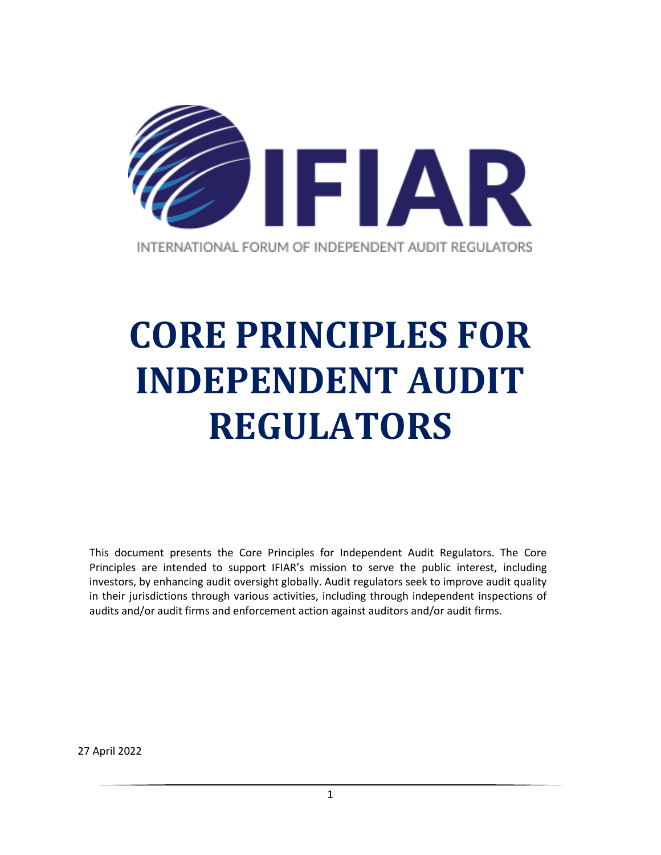

# **CORE PRINCIPLES FOR INDEPENDENT AUDIT REGULATORS**

This document presents the Core Principles for Independent Audit Regulators. The Core Principles are intended to support IFIAR's mission to serve the public interest, including investors, by enhancing audit oversight globally. Audit regulators seek to improve audit quality in their jurisdictions through various activities, including through independent inspections of audits and/or audit firms and enforcement action against auditors and/or audit firms.

27 April 2022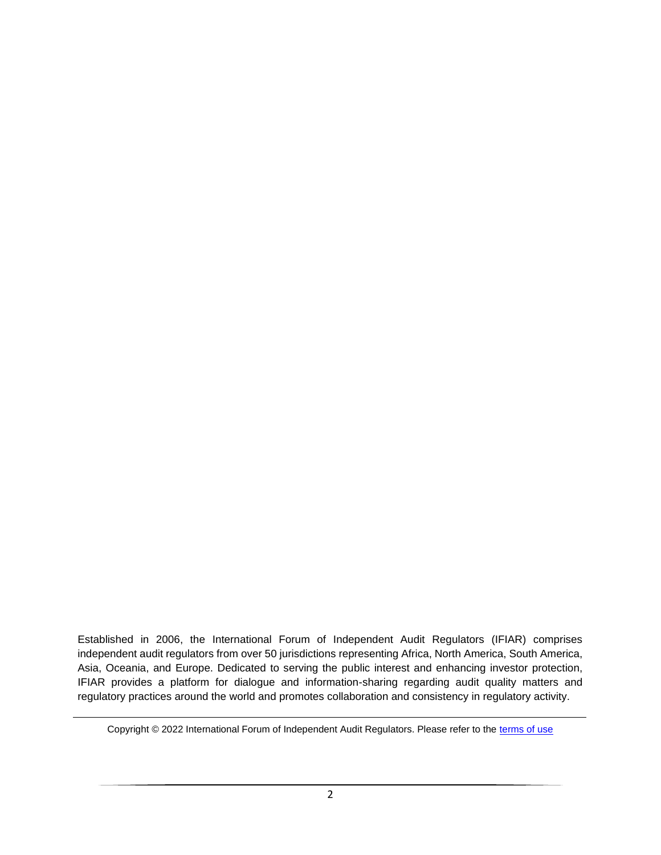Established in 2006, the International Forum of Independent Audit Regulators (IFIAR) comprises independent audit regulators from over 50 jurisdictions representing Africa, North America, South America, Asia, Oceania, and Europe. Dedicated to serving the public interest and enhancing investor protection, IFIAR provides a platform for dialogue and information-sharing regarding audit quality matters and regulatory practices around the world and promotes collaboration and consistency in regulatory activity.

Copyright © 2022 International Forum of Independent Audit Regulators. Please refer to the [terms of use](https://www.ifiar.org/terms-of-use/)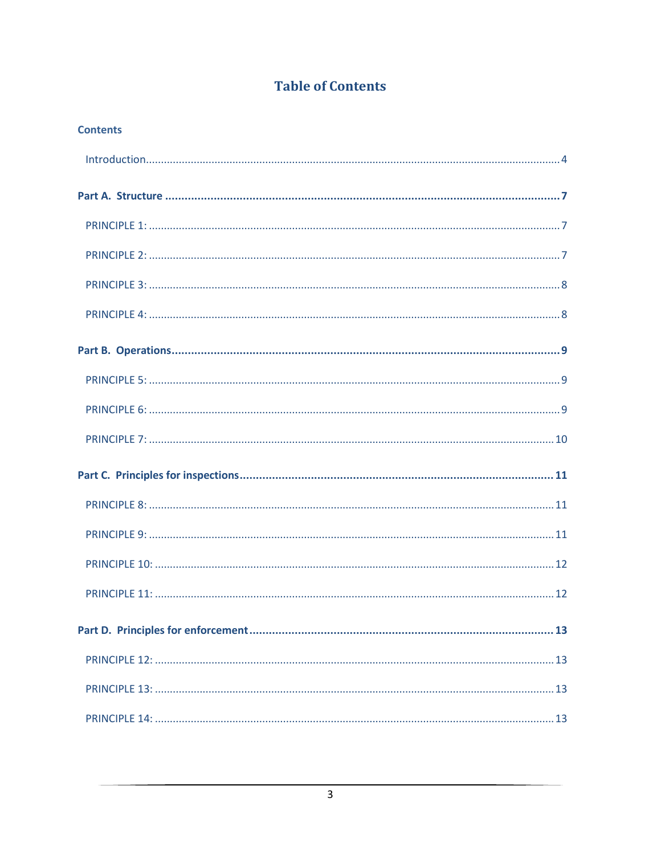# **Table of Contents**

**Contents**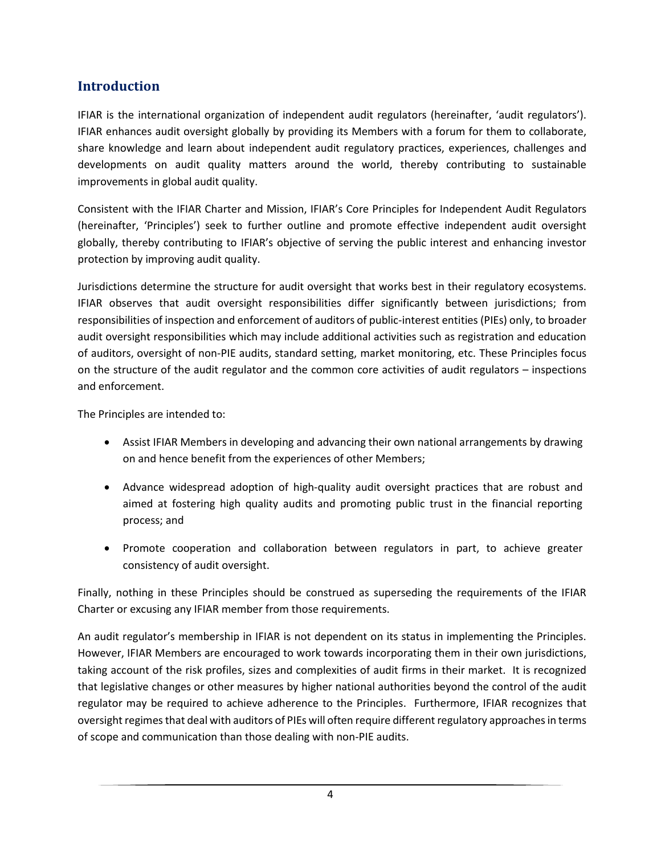#### <span id="page-3-0"></span>**Introduction**

IFIAR is the international organization of independent audit regulators (hereinafter, 'audit regulators'). IFIAR enhances audit oversight globally by providing its Members with a forum for them to collaborate, share knowledge and learn about independent audit regulatory practices, experiences, challenges and developments on audit quality matters around the world, thereby contributing to sustainable improvements in global audit quality.

Consistent with the IFIAR Charter and Mission, IFIAR's Core Principles for Independent Audit Regulators (hereinafter, 'Principles') seek to further outline and promote effective independent audit oversight globally, thereby contributing to IFIAR's objective of serving the public interest and enhancing investor protection by improving audit quality.

Jurisdictions determine the structure for audit oversight that works best in their regulatory ecosystems. IFIAR observes that audit oversight responsibilities differ significantly between jurisdictions; from responsibilities of inspection and enforcement of auditors of public-interest entities (PIEs) only, to broader audit oversight responsibilities which may include additional activities such as registration and education of auditors, oversight of non-PIE audits, standard setting, market monitoring, etc. These Principles focus on the structure of the audit regulator and the common core activities of audit regulators – inspections and enforcement.

The Principles are intended to:

- Assist IFIAR Members in developing and advancing their own national arrangements by drawing on and hence benefit from the experiences of other Members;
- Advance widespread adoption of high-quality audit oversight practices that are robust and aimed at fostering high quality audits and promoting public trust in the financial reporting process; and
- Promote cooperation and collaboration between regulators in part, to achieve greater consistency of audit oversight.

Finally, nothing in these Principles should be construed as superseding the requirements of the IFIAR Charter or excusing any IFIAR member from those requirements.

An audit regulator's membership in IFIAR is not dependent on its status in implementing the Principles. However, IFIAR Members are encouraged to work towards incorporating them in their own jurisdictions, taking account of the risk profiles, sizes and complexities of audit firms in their market. It is recognized that legislative changes or other measures by higher national authorities beyond the control of the audit regulator may be required to achieve adherence to the Principles. Furthermore, IFIAR recognizes that oversight regimes that deal with auditors of PIEs will often require different regulatory approaches in terms of scope and communication than those dealing with non-PIE audits.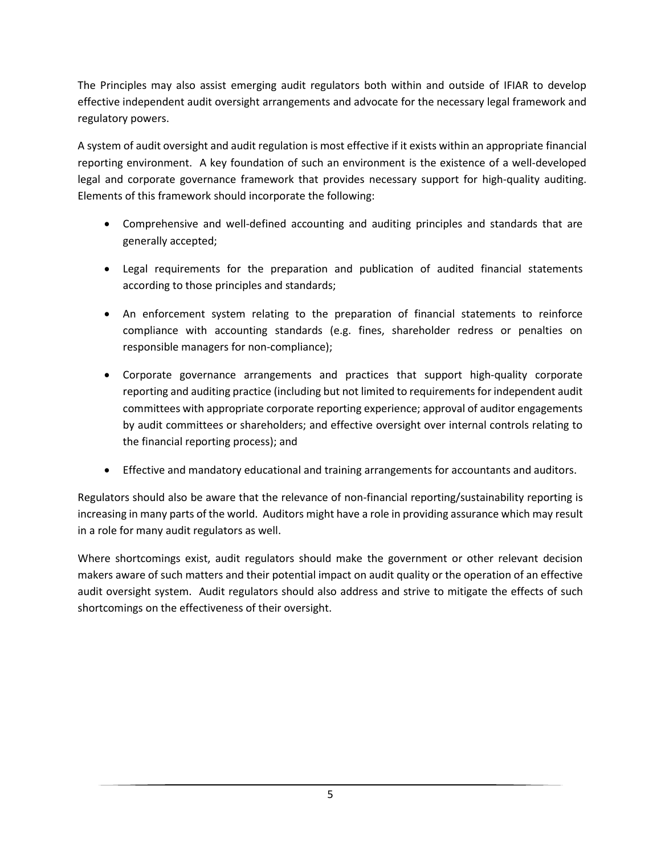The Principles may also assist emerging audit regulators both within and outside of IFIAR to develop effective independent audit oversight arrangements and advocate for the necessary legal framework and regulatory powers.

A system of audit oversight and audit regulation is most effective if it exists within an appropriate financial reporting environment. A key foundation of such an environment is the existence of a well-developed legal and corporate governance framework that provides necessary support for high-quality auditing. Elements of this framework should incorporate the following:

- Comprehensive and well-defined accounting and auditing principles and standards that are generally accepted;
- Legal requirements for the preparation and publication of audited financial statements according to those principles and standards;
- An enforcement system relating to the preparation of financial statements to reinforce compliance with accounting standards (e.g. fines, shareholder redress or penalties on responsible managers for non‐compliance);
- Corporate governance arrangements and practices that support high‐quality corporate reporting and auditing practice (including but not limited to requirements for independent audit committees with appropriate corporate reporting experience; approval of auditor engagements by audit committees or shareholders; and effective oversight over internal controls relating to the financial reporting process); and
- Effective and mandatory educational and training arrangements for accountants and auditors.

Regulators should also be aware that the relevance of non-financial reporting/sustainability reporting is increasing in many parts of the world. Auditors might have a role in providing assurance which may result in a role for many audit regulators as well.

Where shortcomings exist, audit regulators should make the government or other relevant decision makers aware of such matters and their potential impact on audit quality or the operation of an effective audit oversight system. Audit regulators should also address and strive to mitigate the effects of such shortcomings on the effectiveness of their oversight.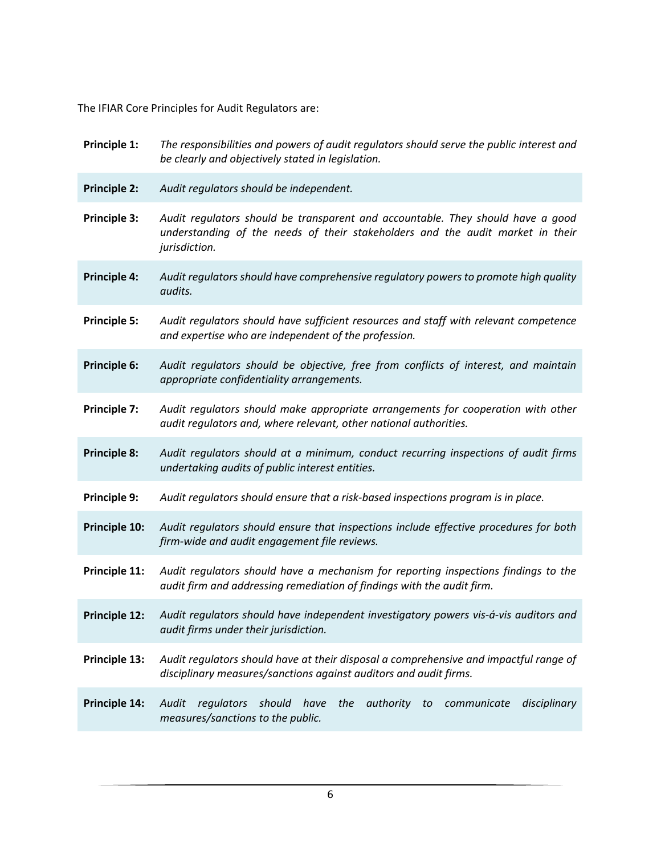The IFIAR Core Principles for Audit Regulators are:

| Principle 1:        | The responsibilities and powers of audit regulators should serve the public interest and<br>be clearly and objectively stated in legislation.                                      |
|---------------------|------------------------------------------------------------------------------------------------------------------------------------------------------------------------------------|
| <b>Principle 2:</b> | Audit regulators should be independent.                                                                                                                                            |
| Principle 3:        | Audit regulators should be transparent and accountable. They should have a good<br>understanding of the needs of their stakeholders and the audit market in their<br>jurisdiction. |
| <b>Principle 4:</b> | Audit regulators should have comprehensive regulatory powers to promote high quality<br>audits.                                                                                    |
| <b>Principle 5:</b> | Audit regulators should have sufficient resources and staff with relevant competence<br>and expertise who are independent of the profession.                                       |
| Principle 6:        | Audit regulators should be objective, free from conflicts of interest, and maintain<br>appropriate confidentiality arrangements.                                                   |
| Principle 7:        | Audit regulators should make appropriate arrangements for cooperation with other<br>audit regulators and, where relevant, other national authorities.                              |
| <b>Principle 8:</b> | Audit regulators should at a minimum, conduct recurring inspections of audit firms<br>undertaking audits of public interest entities.                                              |
| Principle 9:        | Audit regulators should ensure that a risk-based inspections program is in place.                                                                                                  |
| Principle 10:       | Audit regulators should ensure that inspections include effective procedures for both<br>firm-wide and audit engagement file reviews.                                              |
| Principle 11:       | Audit regulators should have a mechanism for reporting inspections findings to the<br>audit firm and addressing remediation of findings with the audit firm.                       |
| Principle 12:       | Audit regulators should have independent investigatory powers vis-á-vis auditors and<br>audit firms under their jurisdiction.                                                      |
| Principle 13:       | Audit regulators should have at their disposal a comprehensive and impactful range of<br>disciplinary measures/sanctions against auditors and audit firms.                         |
| Principle 14:       | regulators<br>should<br>authority<br>Audit<br>have<br>the<br>communicate<br>disciplinary<br>to<br>measures/sanctions to the public.                                                |
|                     |                                                                                                                                                                                    |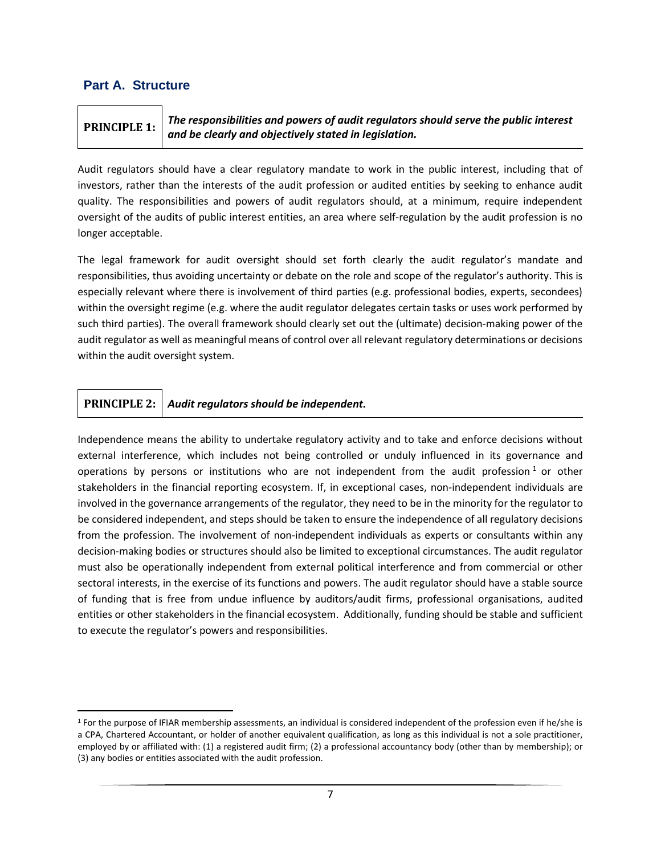#### <span id="page-6-0"></span>**Part A. Structure**

## <span id="page-6-1"></span>**PRINCIPLE 1:** *The responsibilities and powers of audit regulators should serve the public interest and be clearly and objectively stated in legislation.*

Audit regulators should have a clear regulatory mandate to work in the public interest, including that of investors, rather than the interests of the audit profession or audited entities by seeking to enhance audit quality. The responsibilities and powers of audit regulators should, at a minimum, require independent oversight of the audits of public interest entities, an area where self-regulation by the audit profession is no longer acceptable.

The legal framework for audit oversight should set forth clearly the audit regulator's mandate and responsibilities, thus avoiding uncertainty or debate on the role and scope of the regulator's authority. This is especially relevant where there is involvement of third parties (e.g. professional bodies, experts, secondees) within the oversight regime (e.g. where the audit regulator delegates certain tasks or uses work performed by such third parties). The overall framework should clearly set out the (ultimate) decision-making power of the audit regulator as well as meaningful means of control over all relevant regulatory determinations or decisions within the audit oversight system.

#### <span id="page-6-2"></span>**PRINCIPLE 2:** *Audit regulators should be independent.*

Independence means the ability to undertake regulatory activity and to take and enforce decisions without external interference, which includes not being controlled or unduly influenced in its governance and operations by persons or institutions who are not independent from the audit profession<sup>1</sup> or other stakeholders in the financial reporting ecosystem. If, in exceptional cases, non-independent individuals are involved in the governance arrangements of the regulator, they need to be in the minority for the regulator to be considered independent, and steps should be taken to ensure the independence of all regulatory decisions from the profession. The involvement of non-independent individuals as experts or consultants within any decision-making bodies or structures should also be limited to exceptional circumstances. The audit regulator must also be operationally independent from external political interference and from commercial or other sectoral interests, in the exercise of its functions and powers. The audit regulator should have a stable source of funding that is free from undue influence by auditors/audit firms, professional organisations, audited entities or other stakeholders in the financial ecosystem. Additionally, funding should be stable and sufficient to execute the regulator's powers and responsibilities.

<sup>1</sup> For the purpose of IFIAR membership assessments, an individual is considered independent of the profession even if he/she is a CPA, Chartered Accountant, or holder of another equivalent qualification, as long as this individual is not a sole practitioner, employed by or affiliated with: (1) a registered audit firm; (2) a professional accountancy body (other than by membership); or (3) any bodies or entities associated with the audit profession.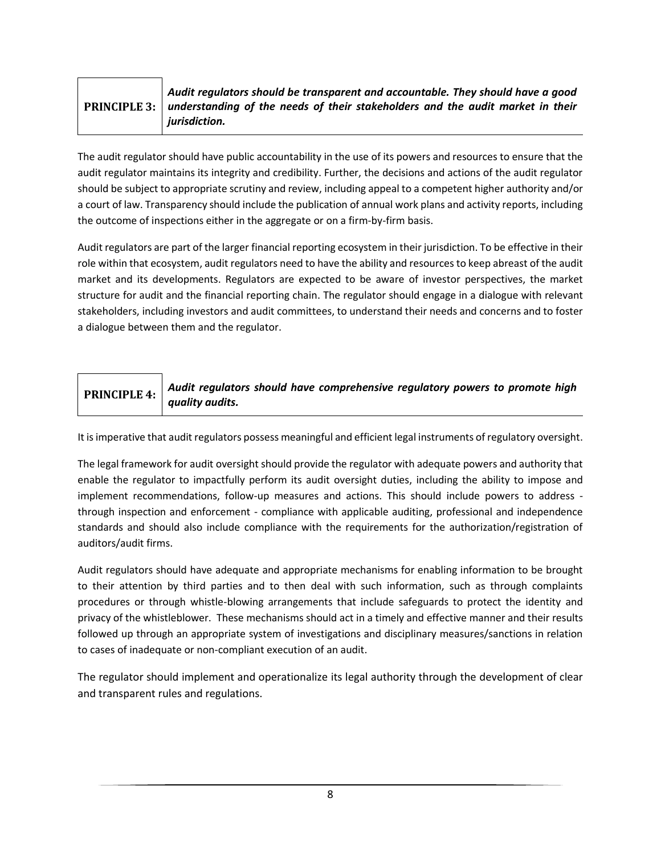#### <span id="page-7-0"></span>**PRINCIPLE 3:** *Audit regulators should be transparent and accountable. They should have a good understanding of the needs of their stakeholders and the audit market in their jurisdiction.*

The audit regulator should have public accountability in the use of its powers and resources to ensure that the audit regulator maintains its integrity and credibility. Further, the decisions and actions of the audit regulator should be subject to appropriate scrutiny and review, including appeal to a competent higher authority and/or a court of law. Transparency should include the publication of annual work plans and activity reports, including the outcome of inspections either in the aggregate or on a firm-by-firm basis.

Audit regulators are part of the larger financial reporting ecosystem in their jurisdiction. To be effective in their role within that ecosystem, audit regulators need to have the ability and resources to keep abreast of the audit market and its developments. Regulators are expected to be aware of investor perspectives, the market structure for audit and the financial reporting chain. The regulator should engage in a dialogue with relevant stakeholders, including investors and audit committees, to understand their needs and concerns and to foster a dialogue between them and the regulator.

#### **PRINCIPLE 4:** *Audit regulators should have comprehensive regulatory powers to promote high quality audits.*

It is imperative that audit regulators possess meaningful and efficient legal instruments of regulatory oversight.

The legal framework for audit oversight should provide the regulator with adequate powers and authority that enable the regulator to impactfully perform its audit oversight duties, including the ability to impose and implement recommendations, follow-up measures and actions. This should include powers to address through inspection and enforcement - compliance with applicable auditing, professional and independence standards and should also include compliance with the requirements for the authorization/registration of auditors/audit firms.

Audit regulators should have adequate and appropriate mechanisms for enabling information to be brought to their attention by third parties and to then deal with such information, such as through complaints procedures or through whistle-blowing arrangements that include safeguards to protect the identity and privacy of the whistleblower. These mechanisms should act in a timely and effective manner and their results followed up through an appropriate system of investigations and disciplinary measures/sanctions in relation to cases of inadequate or non-compliant execution of an audit.

The regulator should implement and operationalize its legal authority through the development of clear and transparent rules and regulations.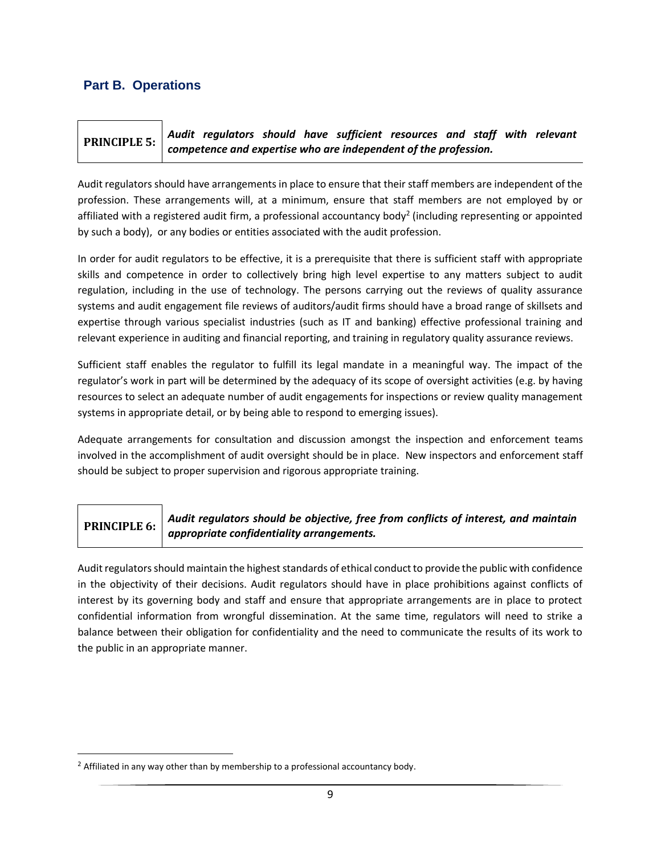#### <span id="page-8-0"></span>**Part B. Operations**

#### <span id="page-8-1"></span>**PRINCIPLE 5:** *Audit regulators should have sufficient resources and staff with relevant competence and expertise who are independent of the profession.*

Audit regulators should have arrangements in place to ensure that their staff members are independent of the profession. These arrangements will, at a minimum, ensure that staff members are not employed by or affiliated with a registered audit firm, a professional accountancy body<sup>2</sup> (including representing or appointed by such a body), or any bodies or entities associated with the audit profession.

In order for audit regulators to be effective, it is a prerequisite that there is sufficient staff with appropriate skills and competence in order to collectively bring high level expertise to any matters subject to audit regulation, including in the use of technology. The persons carrying out the reviews of quality assurance systems and audit engagement file reviews of auditors/audit firms should have a broad range of skillsets and expertise through various specialist industries (such as IT and banking) effective professional training and relevant experience in auditing and financial reporting, and training in regulatory quality assurance reviews.

Sufficient staff enables the regulator to fulfill its legal mandate in a meaningful way. The impact of the regulator's work in part will be determined by the adequacy of its scope of oversight activities (e.g. by having resources to select an adequate number of audit engagements for inspections or review quality management systems in appropriate detail, or by being able to respond to emerging issues).

Adequate arrangements for consultation and discussion amongst the inspection and enforcement teams involved in the accomplishment of audit oversight should be in place. New inspectors and enforcement staff should be subject to proper supervision and rigorous appropriate training.

## <span id="page-8-2"></span>**PRINCIPLE 6:**

*Audit regulators should be objective, free from conflicts of interest, and maintain appropriate confidentiality arrangements.*

Audit regulators should maintain the highest standards of ethical conduct to provide the public with confidence in the objectivity of their decisions. Audit regulators should have in place prohibitions against conflicts of interest by its governing body and staff and ensure that appropriate arrangements are in place to protect confidential information from wrongful dissemination. At the same time, regulators will need to strike a balance between their obligation for confidentiality and the need to communicate the results of its work to the public in an appropriate manner.

 $2$  Affiliated in any way other than by membership to a professional accountancy body.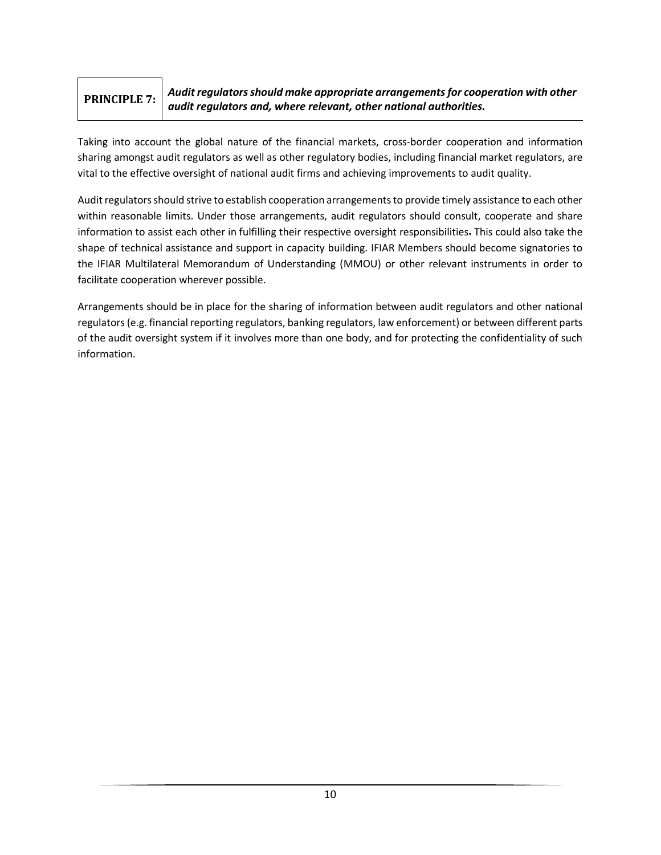#### <span id="page-9-0"></span>**PRINCIPLE 7:** *Audit regulators should make appropriate arrangements for cooperation with other audit regulators and, where relevant, other national authorities.*

Taking into account the global nature of the financial markets, cross-border cooperation and information sharing amongst audit regulators as well as other regulatory bodies, including financial market regulators, are vital to the effective oversight of national audit firms and achieving improvements to audit quality.

Audit regulators should strive to establish cooperation arrangements to provide timely assistance to each other within reasonable limits. Under those arrangements, audit regulators should consult, cooperate and share information to assist each other in fulfilling their respective oversight responsibilities. This could also take the shape of technical assistance and support in capacity building. IFIAR Members should become signatories to the IFIAR Multilateral Memorandum of Understanding (MMOU) or other relevant instruments in order to facilitate cooperation wherever possible.

Arrangements should be in place for the sharing of information between audit regulators and other national regulators(e.g. financial reporting regulators, banking regulators, law enforcement) or between different parts of the audit oversight system if it involves more than one body, and for protecting the confidentiality of such information.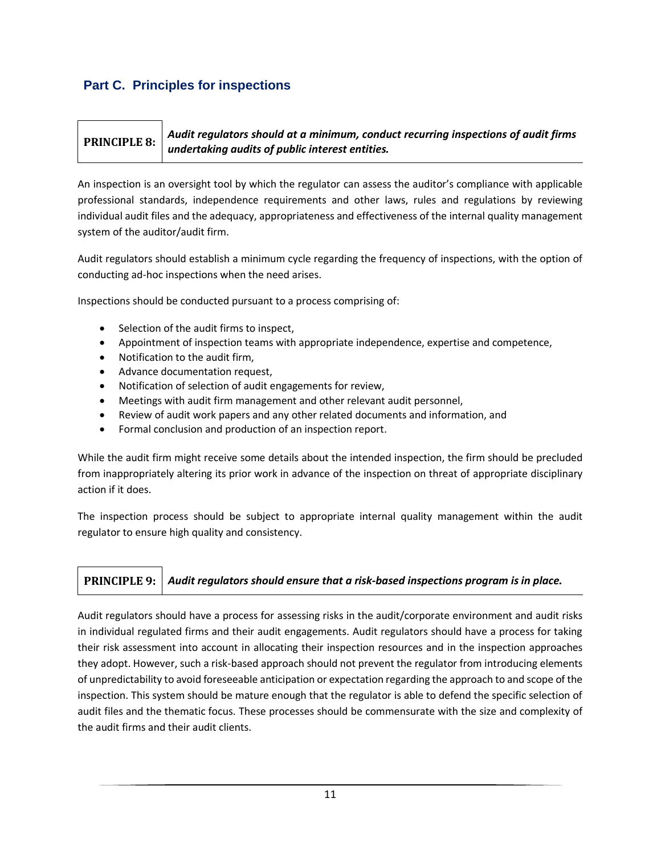## <span id="page-10-0"></span>**Part C. Principles for inspections**

#### <span id="page-10-1"></span>**PRINCIPLE 8:** *Audit regulators should at a minimum, conduct recurring inspections of audit firms undertaking audits of public interest entities.*

An inspection is an oversight tool by which the regulator can assess the auditor's compliance with applicable professional standards, independence requirements and other laws, rules and regulations by reviewing individual audit files and the adequacy, appropriateness and effectiveness of the internal quality management system of the auditor/audit firm.

Audit regulators should establish a minimum cycle regarding the frequency of inspections, with the option of conducting ad-hoc inspections when the need arises.

Inspections should be conducted pursuant to a process comprising of:

- Selection of the audit firms to inspect,
- Appointment of inspection teams with appropriate independence, expertise and competence,
- Notification to the audit firm,
- Advance documentation request,
- Notification of selection of audit engagements for review,
- Meetings with audit firm management and other relevant audit personnel,
- Review of audit work papers and any other related documents and information, and
- Formal conclusion and production of an inspection report.

While the audit firm might receive some details about the intended inspection, the firm should be precluded from inappropriately altering its prior work in advance of the inspection on threat of appropriate disciplinary action if it does.

The inspection process should be subject to appropriate internal quality management within the audit regulator to ensure high quality and consistency.

## <span id="page-10-2"></span>**PRINCIPLE 9:** *Audit regulators should ensure that a risk‐based inspections program is in place.*

Audit regulators should have a process for assessing risks in the audit/corporate environment and audit risks in individual regulated firms and their audit engagements. Audit regulators should have a process for taking their risk assessment into account in allocating their inspection resources and in the inspection approaches they adopt. However, such a risk-based approach should not prevent the regulator from introducing elements of unpredictability to avoid foreseeable anticipation or expectation regarding the approach to and scope of the inspection. This system should be mature enough that the regulator is able to defend the specific selection of audit files and the thematic focus. These processes should be commensurate with the size and complexity of the audit firms and their audit clients.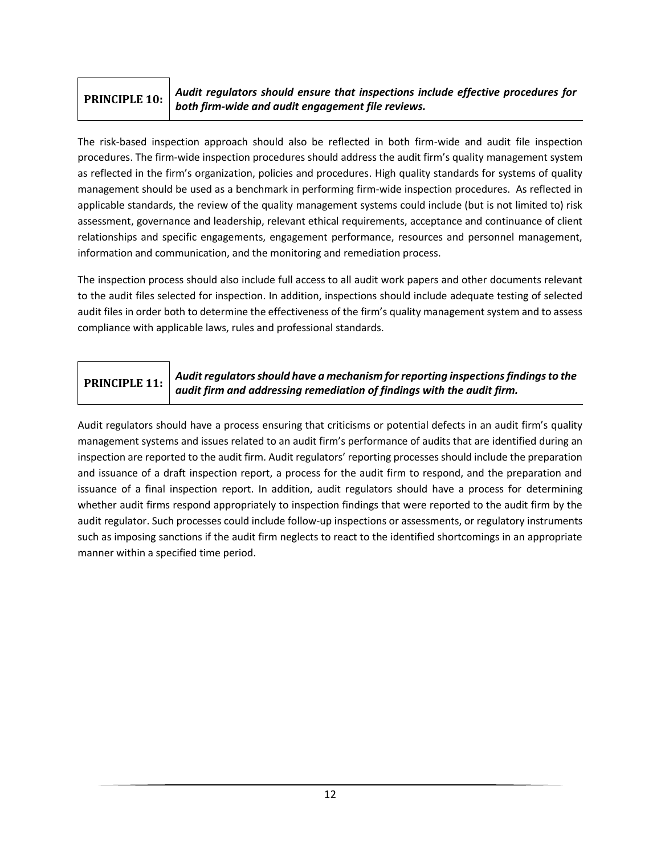## <span id="page-11-0"></span>**PRINCIPLE 10:**

*Audit regulators should ensure that inspections include effective procedures for both firm-wide and audit engagement file reviews.*

The risk‐based inspection approach should also be reflected in both firm-wide and audit file inspection procedures. The firm-wide inspection procedures should address the audit firm's quality management system as reflected in the firm's organization, policies and procedures. High quality standards for systems of quality management should be used as a benchmark in performing firm-wide inspection procedures. As reflected in applicable standards, the review of the quality management systems could include (but is not limited to) risk assessment, governance and leadership, relevant ethical requirements, acceptance and continuance of client relationships and specific engagements, engagement performance, resources and personnel management, information and communication, and the monitoring and remediation process.

The inspection process should also include full access to all audit work papers and other documents relevant to the audit files selected for inspection. In addition, inspections should include adequate testing of selected audit files in order both to determine the effectiveness of the firm's quality management system and to assess compliance with applicable laws, rules and professional standards.

## <span id="page-11-1"></span>**PRINCIPLE 11:**

*Audit regulators should have a mechanism for reporting inspections findings to the audit firm and addressing remediation of findings with the audit firm.*

Audit regulators should have a process ensuring that criticisms or potential defects in an audit firm's quality management systems and issues related to an audit firm's performance of audits that are identified during an inspection are reported to the audit firm. Audit regulators' reporting processes should include the preparation and issuance of a draft inspection report, a process for the audit firm to respond, and the preparation and issuance of a final inspection report. In addition, audit regulators should have a process for determining whether audit firms respond appropriately to inspection findings that were reported to the audit firm by the audit regulator. Such processes could include follow-up inspections or assessments, or regulatory instruments such as imposing sanctions if the audit firm neglects to react to the identified shortcomings in an appropriate manner within a specified time period.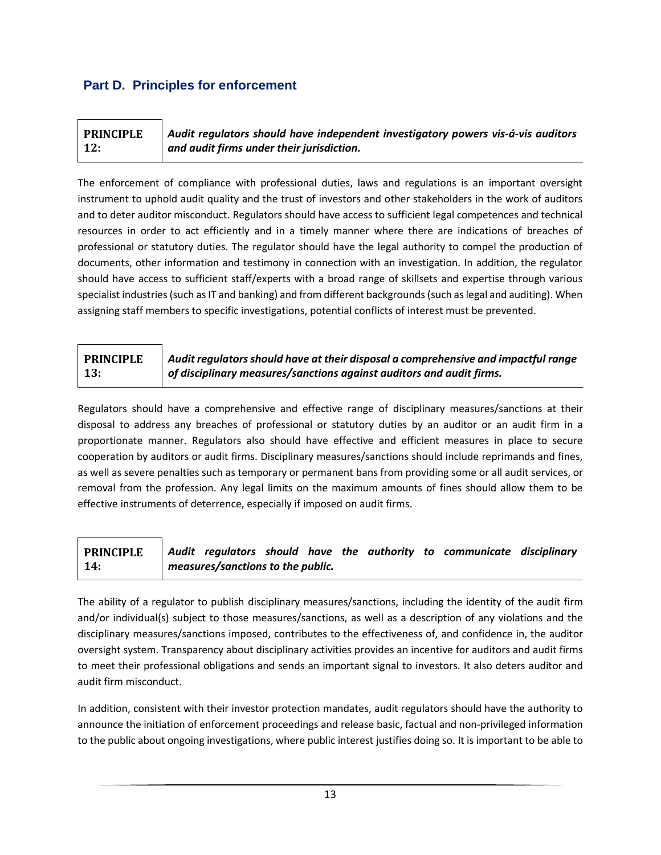## <span id="page-12-0"></span>**Part D. Principles for enforcement**

<span id="page-12-1"></span>

| <b>PRINCIPLE</b> | Audit regulators should have independent investigatory powers vis-á-vis auditors |
|------------------|----------------------------------------------------------------------------------|
| 12:              | $\vert$ and audit firms under their jurisdiction.                                |

The enforcement of compliance with professional duties, laws and regulations is an important oversight instrument to uphold audit quality and the trust of investors and other stakeholders in the work of auditors and to deter auditor misconduct. Regulators should have access to sufficient legal competences and technical resources in order to act efficiently and in a timely manner where there are indications of breaches of professional or statutory duties. The regulator should have the legal authority to compel the production of documents, other information and testimony in connection with an investigation. In addition, the regulator should have access to sufficient staff/experts with a broad range of skillsets and expertise through various specialist industries (such as IT and banking) and from different backgrounds (such as legal and auditing). When assigning staff members to specific investigations, potential conflicts of interest must be prevented.

#### <span id="page-12-2"></span>**PRINCIPLE 13:** *Audit regulators should have at their disposal a comprehensive and impactful range of disciplinary measures/sanctions against auditors and audit firms.*

Regulators should have a comprehensive and effective range of disciplinary measures/sanctions at their disposal to address any breaches of professional or statutory duties by an auditor or an audit firm in a proportionate manner. Regulators also should have effective and efficient measures in place to secure cooperation by auditors or audit firms. Disciplinary measures/sanctions should include reprimands and fines, as well as severe penalties such as temporary or permanent bans from providing some or all audit services, or removal from the profession. Any legal limits on the maximum amounts of fines should allow them to be effective instruments of deterrence, especially if imposed on audit firms.

#### <span id="page-12-3"></span>**PRINCIPLE 14:** *Audit regulators should have the authority to communicate disciplinary measures/sanctions to the public.*

The ability of a regulator to publish disciplinary measures/sanctions, including the identity of the audit firm and/or individual(s) subject to those measures/sanctions, as well as a description of any violations and the disciplinary measures/sanctions imposed, contributes to the effectiveness of, and confidence in, the auditor oversight system. Transparency about disciplinary activities provides an incentive for auditors and audit firms to meet their professional obligations and sends an important signal to investors. It also deters auditor and audit firm misconduct.

In addition, consistent with their investor protection mandates, audit regulators should have the authority to announce the initiation of enforcement proceedings and release basic, factual and non-privileged information to the public about ongoing investigations, where public interest justifies doing so. It is important to be able to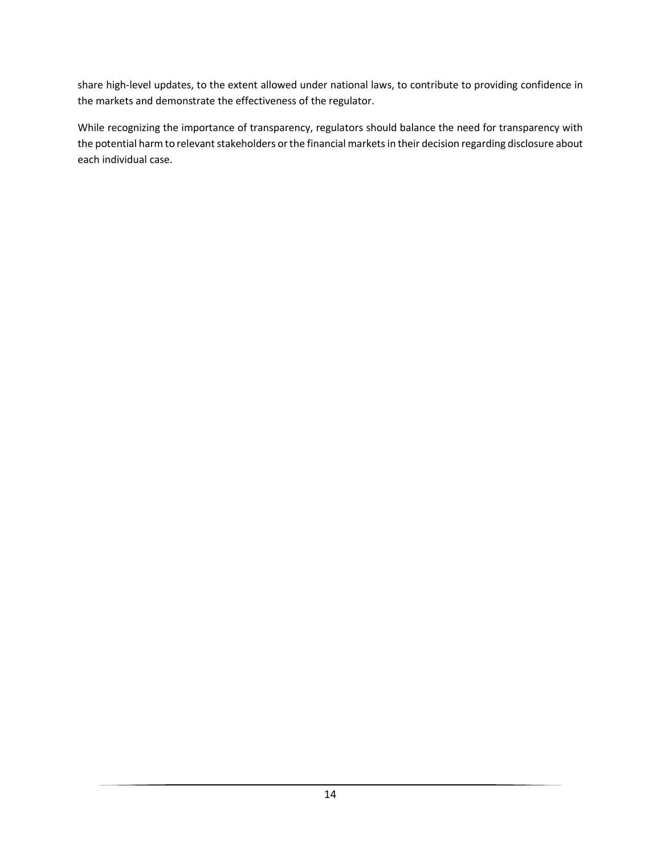share high-level updates, to the extent allowed under national laws, to contribute to providing confidence in the markets and demonstrate the effectiveness of the regulator.

While recognizing the importance of transparency, regulators should balance the need for transparency with the potential harm to relevant stakeholders or the financial markets in their decision regarding disclosure about each individual case.